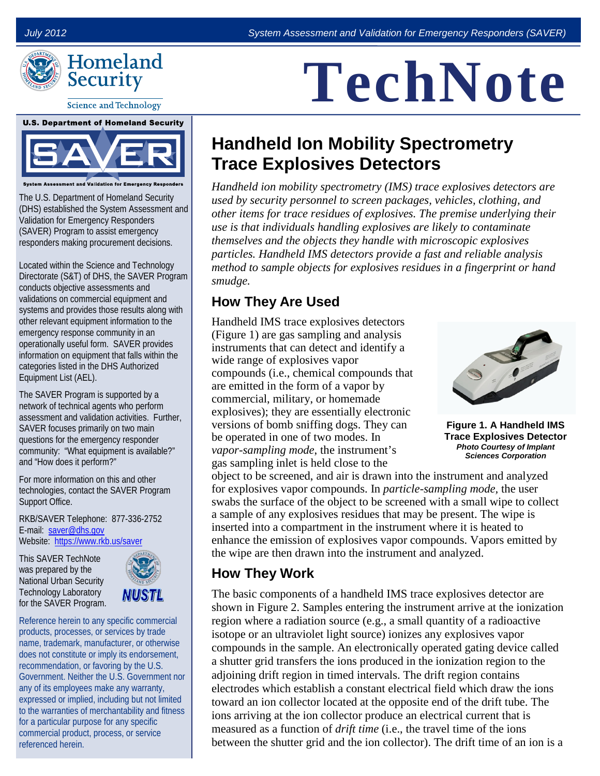



**Science and Technology** 

## **U.S. Department of Homeland Security**

System Assessment and Validation for Emergency Resp

The U.S. Department of Homeland Security (DHS) established the System Assessment and Validation for Emergency Responders (SAVER) Program to assist emergency responders making procurement decisions.

Located within the Science and Technology Directorate (S&T) of DHS, the SAVER Program conducts objective assessments and validations on commercial equipment and systems and provides those results along with other relevant equipment information to the emergency response community in an operationally useful form. SAVER provides information on equipment that falls within the categories listed in the DHS Authorized Equipment List (AEL).

The SAVER Program is supported by a network of technical agents who perform assessment and validation activities. Further, SAVER focuses primarily on two main questions for the emergency responder community: "What equipment is available?" and "How does it perform?"

For more information on this and other technologies, contact the SAVER Program Support Office.

RKB/SAVER Telephone: 877-336-2752 E-mail: [saver@dhs.gov](mailto:saver@dhs.gov) Website: <https://www.rkb.us/saver>

This SAVER TechNote was prepared by the National Urban Security Technology Laboratory for the SAVER Program.



Reference herein to any specific commercial products, processes, or services by trade name, trademark, manufacturer, or otherwise does not constitute or imply its endorsement, recommendation, or favoring by the U.S. Government. Neither the U.S. Government nor any of its employees make any warranty, expressed or implied, including but not limited to the warranties of merchantability and fitness for a particular purpose for any specific commercial product, process, or service referenced herein.

# **TechNote**

### **Handheld Ion Mobility Spectrometry Trace Explosives Detectors**

*Handheld ion mobility spectrometry (IMS) trace explosives detectors are used by security personnel to screen packages, vehicles, clothing, and other items for trace residues of explosives. The premise underlying their use is that individuals handling explosives are likely to contaminate themselves and the objects they handle with microscopic explosives particles. Handheld IMS detectors provide a fast and reliable analysis method to sample objects for explosives residues in a fingerprint or hand smudge.* 

#### **How They Are Used**

Handheld IMS trace explosives detectors (Figure 1) are gas sampling and analysis instruments that can detect and identify a wide range of explosives vapor compounds (i.e., chemical compounds that are emitted in the form of a vapor by commercial, military, or homemade explosives); they are essentially electronic versions of bomb sniffing dogs. They can be operated in one of two modes. In *vapor-sampling mode*, the instrument's gas sampling inlet is held close to the



**Figure 1. A Handheld IMS Trace Explosives Detector** *Photo Courtesy of Implant Sciences Corporation*

object to be screened, and air is drawn into the instrument and analyzed for explosives vapor compounds. In *particle-sampling mode,* the user swabs the surface of the object to be screened with a small wipe to collect a sample of any explosives residues that may be present. The wipe is inserted into a compartment in the instrument where it is heated to enhance the emission of explosives vapor compounds. Vapors emitted by the wipe are then drawn into the instrument and analyzed.

#### **How They Work**

The basic components of a handheld IMS trace explosives detector are shown in Figure 2. Samples entering the instrument arrive at the ionization region where a radiation source (e.g., a small quantity of a radioactive isotope or an ultraviolet light source) ionizes any explosives vapor compounds in the sample. An electronically operated gating device called a shutter grid transfers the ions produced in the ionization region to the adjoining drift region in timed intervals. The drift region contains electrodes which establish a constant electrical field which draw the ions toward an ion collector located at the opposite end of the drift tube. The ions arriving at the ion collector produce an electrical current that is measured as a function of *drift time* (i.e., the travel time of the ions between the shutter grid and the ion collector). The drift time of an ion is a